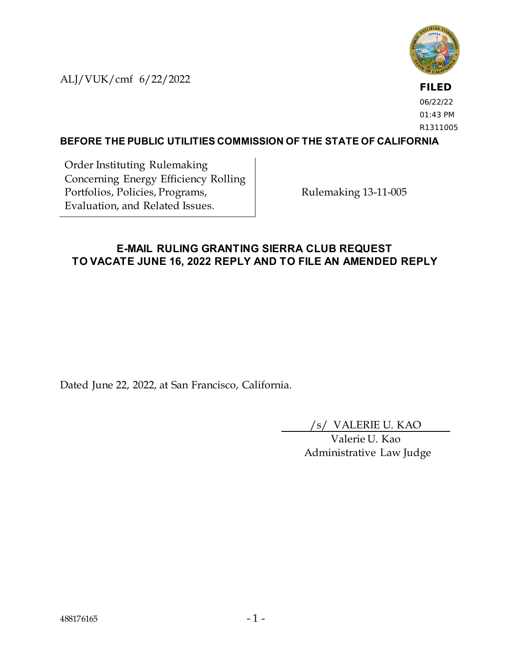ALJ/VUK/cmf 6/22/2022



**FILED** 06/22/22 01:43 PM R1311005

### **BEFORE THE PUBLIC UTILITIES COMMISSION OF THE STATE OF CALIFORNIA**

Order Instituting Rulemaking Concerning Energy Efficiency Rolling Portfolios, Policies, Programs, Evaluation, and Related Issues.

Rulemaking 13-11-005

### **E-MAIL RULING GRANTING SIERRA CLUB REQUEST TO VACATE JUNE 16, 2022 REPLY AND TO FILE AN AMENDED REPLY**

Dated June 22, 2022, at San Francisco, California.

/s/ VALERIE U. KAO

Valerie U. Kao Administrative Law Judge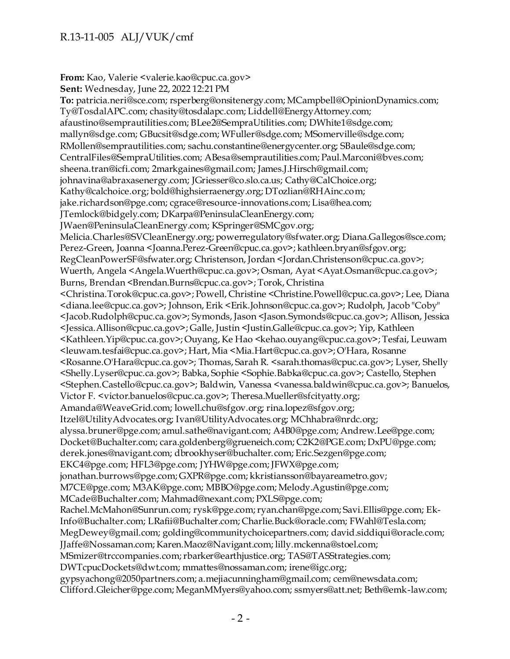**From:** Kao, Valerie <valerie.kao@cpuc.ca.gov> **Sent:** Wednesday, June 22, 2022 12:21 PM **To:** patricia.neri@sce.com; rsperberg@onsitenergy.com; MCampbell@OpinionDynamics.com; Ty@TosdalAPC.com; chasity@tosdalapc.com; Liddell@EnergyAttorney.com; afaustino@semprautilities.com; BLee2@SempraUtilities.com; DWhite1@sdge.com; mallyn@sdge.com; GBucsit@sdge.com; WFuller@sdge.com; MSomerville@sdge.com; RMollen@semprautilities.com; sachu.constantine@energycenter.org; SBaule@sdge.com; CentralFiles@SempraUtilities.com; ABesa@semprautilities.com; Paul.Marconi@bves.com; sheena.tran@icfi.com; 2markgaines@gmail.com; James.J.Hirsch@gmail.com; johnavina@abraxasenergy.com; JGriesser@co.slo.ca.us; Cathy@CalChoice.org; Kathy@calchoice.org; bold@highsierraenergy.org; DTozlian@RHAinc.com; jake.richardson@pge.com; cgrace@resource-innovations.com; Lisa@hea.com; JTemlock@bidgely.com; DKarpa@PeninsulaCleanEnergy.com; JWaen@PeninsulaCleanEnergy.com; KSpringer@SMCgov.org; Melicia.Charles@SVCleanEnergy.org; powerregulatory@sfwater.org; Diana.Gallegos@sce.com; Perez-Green, Joanna <Joanna.Perez-Green@cpuc.ca.gov>; kathleen.bryan@sfgov.org; RegCleanPowerSF@sfwater.org; Christenson, Jordan <Jordan.Christenson@cpuc.ca.gov>; Wuerth, Angela <Angela.Wuerth@cpuc.ca.gov>; Osman, Ayat <Ayat.Osman@cpuc.ca.gov>; Burns, Brendan <Brendan.Burns@cpuc.ca.gov>; Torok, Christina <Christina.Torok@cpuc.ca.gov>; Powell, Christine <Christine.Powell@cpuc.ca.gov>; Lee, Diana <diana.lee@cpuc.ca.gov>; Johnson, Erik <Erik.Johnson@cpuc.ca.gov>; Rudolph, Jacob "Coby" <Jacob.Rudolph@cpuc.ca.gov>; Symonds, Jason <Jason.Symonds@cpuc.ca.gov>; Allison, Jessica <Jessica.Allison@cpuc.ca.gov>; Galle, Justin <Justin.Galle@cpuc.ca.gov>; Yip, Kathleen <Kathleen.Yip@cpuc.ca.gov>; Ouyang, Ke Hao <kehao.ouyang@cpuc.ca.gov>; Tesfai, Leuwam <leuwam.tesfai@cpuc.ca.gov>; Hart, Mia <Mia.Hart@cpuc.ca.gov>; O'Hara, Rosanne <Rosanne.O'Hara@cpuc.ca.gov>; Thomas, Sarah R. <sarah.thomas@cpuc.ca.gov>; Lyser, Shelly <Shelly.Lyser@cpuc.ca.gov>; Babka, Sophie <Sophie.Babka@cpuc.ca.gov>; Castello, Stephen <Stephen.Castello@cpuc.ca.gov>; Baldwin, Vanessa <vanessa.baldwin@cpuc.ca.gov>; Banuelos, Victor F. <victor.banuelos@cpuc.ca.gov>; Theresa.Mueller@sfcityatty.org; Amanda@WeaveGrid.com; lowell.chu@sfgov.org; rina.lopez@sfgov.org; Itzel@UtilityAdvocates.org; Ivan@UtilityAdvocates.org; MChhabra@nrdc.org; alyssa.bruner@pge.com; amul.sathe@navigant.com; A4B0@pge.com; Andrew.Lee@pge.com; Docket@Buchalter.com; cara.goldenberg@grueneich.com; C2K2@PGE.com; DxPU@pge.com; derek.jones@navigant.com; dbrookhyser@buchalter.com; Eric.Sezgen@pge.com; EKC4@pge.com; HFL3@pge.com; JYHW@pge.com; JFWX@pge.com; jonathan.burrows@pge.com; GXPR@pge.com; kkristiansson@bayareametro.gov; M7CE@pge.com; M3AK@pge.com; MBBO@pge.com; Melody.Agustin@pge.com; MCade@Buchalter.com; Mahmad@nexant.com; PXLS@pge.com; Rachel.McMahon@Sunrun.com; rysk@pge.com; ryan.chan@pge.com; Savi.Ellis@pge.com; Ek-Info@Buchalter.com; LRafii@Buchalter.com; Charlie.Buck@oracle.com; FWahl@Tesla.com; MegDewey@gmail.com; golding@communitychoicepartners.com; david.siddiqui@oracle.com; JJaffe@Nossaman.com; Karen.Maoz@Navigant.com; lilly.mckenna@stoel.com; MSmizer@trccompanies.com; rbarker@earthjustice.org; TAS@TASStrategies.com; DWTcpucDockets@dwt.com; mmattes@nossaman.com; irene@igc.org; gypsyachong@2050partners.com; a.mejiacunningham@gmail.com; cem@newsdata.com; Clifford.Gleicher@pge.com; MeganMMyers@yahoo.com; ssmyers@att.net; Beth@emk-law.com;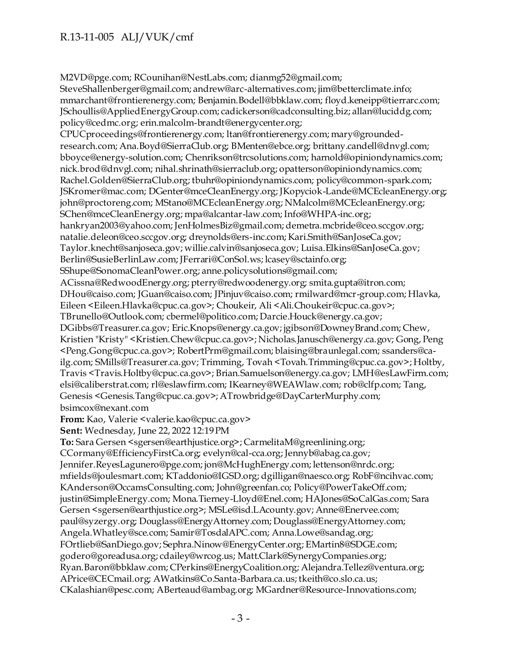M2VD@pge.com; RCounihan@NestLabs.com; dianmg52@gmail.com; SteveShallenberger@gmail.com; andrew@arc-alternatives.com; jim@betterclimate.info; mmarchant@frontierenergy.com; Benjamin.Bodell@bbklaw.com; floyd.keneipp@tierrarc.com; JSchoullis@AppliedEnergyGroup.com; cadickerson@cadconsulting.biz; allan@luciddg.com; policy@cedmc.org; erin.malcolm-brandt@energycenter.org; CPUCproceedings@frontierenergy.com; ltan@frontierenergy.com; mary@groundedresearch.com; Ana.Boyd@SierraClub.org; BMenten@ebce.org; brittany.candell@dnvgl.com; bboyce@energy-solution.com; Chenrikson@trcsolutions.com; harnold@opiniondynamics.com; nick.brod@dnvgl.com; nihal.shrinath@sierraclub.org; opatterson@opiniondynamics.com; Rachel.Golden@SierraClub.org; tbuhr@opiniondynamics.com; policy@common-spark.com; JSKromer@mac.com; DGenter@mceCleanEnergy.org; JKopyciok-Lande@MCEcleanEnergy.org; john@proctoreng.com; MStano@MCEcleanEnergy.org; NMalcolm@MCEcleanEnergy.org; SChen@mceCleanEnergy.org; mpa@alcantar-law.com; Info@WHPA-inc.org; hankryan2003@yahoo.com; JenHolmesBiz@gmail.com; demetra.mcbride@ceo.sccgov.org; natalie.deleon@ceo.sccgov.org; dreynolds@ers-inc.com; Kari.Smith@SanJoseCa.gov; Taylor.knecht@sanjoseca.gov; willie.calvin@sanjoseca.gov; Luisa.Elkins@SanJoseCa.gov; Berlin@SusieBerlinLaw.com; JFerrari@ConSol.ws; lcasey@sctainfo.org; SShupe@SonomaCleanPower.org; anne.policysolutions@gmail.com; ACissna@RedwoodEnergy.org; pterry@redwoodenergy.org; smita.gupta@itron.com; DHou@caiso.com; JGuan@caiso.com; JPinjuv@caiso.com; rmilward@mcr-group.com; Hlavka, Eileen <Eileen.Hlavka@cpuc.ca.gov>; Choukeir, Ali <Ali.Choukeir@cpuc.ca.gov>; TBrunello@Outlook.com; cbermel@politico.com; Darcie.Houck@energy.ca.gov; DGibbs@Treasurer.ca.gov; Eric.Knops@energy.ca.gov; jgibson@DowneyBrand.com; Chew, Kristien "Kristy" <Kristien.Chew@cpuc.ca.gov>; Nicholas.Janusch@energy.ca.gov; Gong, Peng <Peng.Gong@cpuc.ca.gov>; RobertPrm@gmail.com; blaising@braunlegal.com; ssanders@cailg.com; SMills@Treasurer.ca.gov; Trimming, Tovah <Tovah.Trimming@cpuc.ca.gov>; Holtby, Travis <Travis.Holtby@cpuc.ca.gov>; Brian.Samuelson@energy.ca.gov; LMH@esLawFirm.com; elsi@caliberstrat.com; rl@eslawfirm.com; IKearney@WEAWlaw.com; rob@clfp.com; Tang, Genesis <Genesis.Tang@cpuc.ca.gov>; ATrowbridge@DayCarterMurphy.com; bsimcox@nexant.com **From:** Kao, Valerie <valerie.kao@cpuc.ca.gov>

**Sent:** Wednesday, June 22, 2022 12:19 PM

**To:** Sara Gersen <sgersen@earthjustice.org>; CarmelitaM@greenlining.org; CCormany@EfficiencyFirstCa.org; evelyn@cal-cca.org; Jennyb@abag.ca.gov; Jennifer.ReyesLagunero@pge.com; jon@McHughEnergy.com; lettenson@nrdc.org; mfields@joulesmart.com; KTaddonio@IGSD.org; dgilligan@naesco.org; RobF@ncihvac.com; KAnderson@OccamsConsulting.com; John@greenfan.co; Policy@PowerTakeOff.com; justin@SimpleEnergy.com; Mona.Tierney-Lloyd@Enel.com; HAJones@SoCalGas.com; Sara Gersen <sgersen@earthjustice.org>; MSLe@isd.LAcounty.gov; Anne@Enervee.com; paul@syzergy.org; Douglass@EnergyAttorney.com; Douglass@EnergyAttorney.com; Angela.Whatley@sce.com; Samir@TosdalAPC.com; Anna.Lowe@sandag.org; FOrtlieb@SanDiego.gov; Sephra.Ninow@EnergyCenter.org; EMartin8@SDGE.com; godero@goreadusa.org; cdailey@wrcog.us; Matt.Clark@SynergyCompanies.org; Ryan.Baron@bbklaw.com; CPerkins@EnergyCoalition.org; Alejandra.Tellez@ventura.org; APrice@CECmail.org; AWatkins@Co.Santa-Barbara.ca.us; tkeith@co.slo.ca.us; CKalashian@pesc.com; ABerteaud@ambag.org; MGardner@Resource-Innovations.com;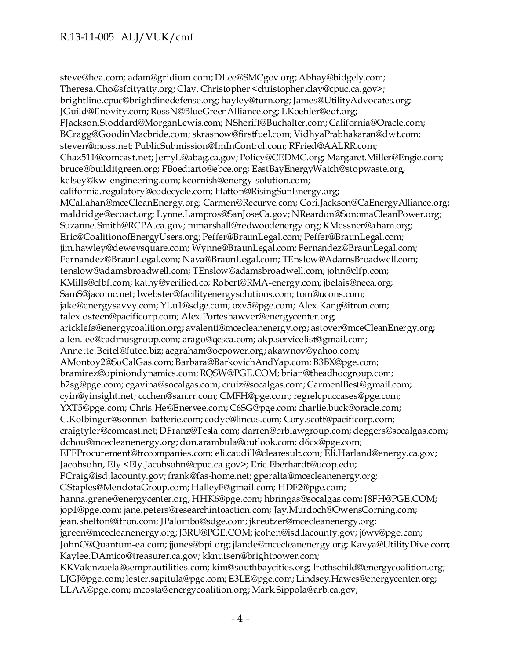steve@hea.com; adam@gridium.com; DLee@SMCgov.org; Abhay@bidgely.com; Theresa.Cho@sfcityatty.org; Clay, Christopher <christopher.clay@cpuc.ca.gov>; brightline.cpuc@brightlinedefense.org; hayley@turn.org; James@UtilityAdvocates.org; JGuild@Enovity.com; RossN@BlueGreenAlliance.org; LKoehler@edf.org; FJackson.Stoddard@MorganLewis.com; NSheriff@Buchalter.com; California@Oracle.com; BCragg@GoodinMacbride.com; skrasnow@firstfuel.com; VidhyaPrabhakaran@dwt.com; steven@moss.net; PublicSubmission@ImInControl.com; RFried@AALRR.com; Chaz511@comcast.net; JerryL@abag.ca.gov; Policy@CEDMC.org; Margaret.Miller@Engie.com; bruce@builditgreen.org; FBoediarto@ebce.org; EastBayEnergyWatch@stopwaste.org; kelsey@kw-engineering.com; kcornish@energy-solution.com; california.regulatory@codecycle.com; Hatton@RisingSunEnergy.org; MCallahan@mceCleanEnergy.org; Carmen@Recurve.com; Cori.Jackson@CaEnergyAlliance.org; maldridge@ecoact.org; Lynne.Lampros@SanJoseCa.gov; NReardon@SonomaCleanPower.org; Suzanne.Smith@RCPA.ca.gov; mmarshall@redwoodenergy.org; KMessner@aham.org; Eric@CoalitionofEnergyUsers.org; Peffer@BraunLegal.com; Peffer@BraunLegal.com; jim.hawley@deweysquare.com; Wynne@BraunLegal.com; Fernandez@BraunLegal.com; Fernandez@BraunLegal.com; Nava@BraunLegal.com; TEnslow@AdamsBroadwell.com; tenslow@adamsbroadwell.com; TEnslow@adamsbroadwell.com; john@clfp.com; KMills@cfbf.com; kathy@verified.co; Robert@RMA-energy.com; jbelais@neea.org; SamS@jacoinc.net; lwebster@facilityenergysolutions.com; tom@ucons.com; jake@energysavvy.com; YLu1@sdge.com; oxv5@pge.com; Alex.Kang@itron.com; talex.osteen@pacificorp.com; Alex.Porteshawver@energycenter.org; aricklefs@energycoalition.org; avalenti@mcecleanenergy.org; astover@mceCleanEnergy.org; allen.lee@cadmusgroup.com; arago@qcsca.com; akp.servicelist@gmail.com; Annette.Beitel@futee.biz; acgraham@ocpower.org; akawnov@yahoo.com; AMontoy2@SoCalGas.com; Barbara@BarkovichAndYap.com; B3BX@pge.com; bramirez@opiniondynamics.com; RQSW@PGE.COM; brian@theadhocgroup.com; b2sg@pge.com; cgavina@socalgas.com; cruiz@socalgas.com; CarmenlBest@gmail.com; cyin@yinsight.net; ccchen@san.rr.com; CMFH@pge.com; regrelcpuccases@pge.com; YXT5@pge.com; Chris.He@Enervee.com; C6SG@pge.com; charlie.buck@oracle.com; C.Kolbinger@sonnen-batterie.com; codyc@lincus.com; Cory.scott@pacificorp.com; craigtyler@comcast.net; DFranz@Tesla.com; darren@brblawgroup.com; deggers@socalgas.com; dchou@mcecleanenergy.org; don.arambula@outlook.com; d6cx@pge.com; EFFProcurement@trccompanies.com; eli.caudill@clearesult.com; Eli.Harland@energy.ca.gov; Jacobsohn, Ely <Ely.Jacobsohn@cpuc.ca.gov>; Eric.Eberhardt@ucop.edu; FCraig@isd.lacounty.gov; frank@fas-home.net; gperalta@mcecleanenergy.org; GStaples@MendotaGroup.com; HalleyF@gmail.com; HDF2@pge.com; hanna.grene@energycenter.org; HHK6@pge.com; hbringas@socalgas.com; J8FH@PGE.COM; jop1@pge.com; jane.peters@researchintoaction.com; Jay.Murdoch@OwensCorning.com; jean.shelton@itron.com; JPalombo@sdge.com; jkreutzer@mcecleanenergy.org; jgreen@mcecleanenergy.org; J3RU@PGE.COM; jcohen@isd.lacounty.gov; j6wv@pge.com; JohnC@Quantum-ea.com; jjones@bpi.org; jlande@mcecleanenergy.org; Kavya@UtilityDive.com; Kaylee.DAmico@treasurer.ca.gov; kknutsen@brightpower.com; KKValenzuela@semprautilities.com; kim@southbaycities.org; lrothschild@energycoalition.org; LJGJ@pge.com; lester.sapitula@pge.com; E3LE@pge.com; Lindsey.Hawes@energycenter.org; LLAA@pge.com; mcosta@energycoalition.org; Mark.Sippola@arb.ca.gov;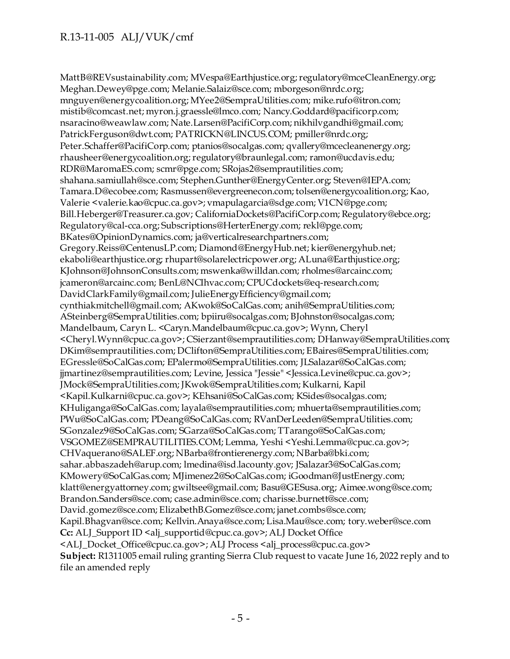MattB@REVsustainability.com; MVespa@Earthjustice.org; regulatory@mceCleanEnergy.org; Meghan.Dewey@pge.com; Melanie.Salaiz@sce.com; mborgeson@nrdc.org; mnguyen@energycoalition.org; MYee2@SempraUtilities.com; mike.rufo@itron.com; mistib@comcast.net; myron.j.graessle@lmco.com; Nancy.Goddard@pacificorp.com; nsaracino@weawlaw.com; Nate.Larsen@PacifiCorp.com; nikhilvgandhi@gmail.com; PatrickFerguson@dwt.com; PATRICKN@LINCUS.COM; pmiller@nrdc.org; Peter.Schaffer@PacifiCorp.com; ptanios@socalgas.com; qvallery@mcecleanenergy.org; rhausheer@energycoalition.org; regulatory@braunlegal.com; ramon@ucdavis.edu; RDR@MaromaES.com; scmr@pge.com; SRojas2@semprautilities.com; shahana.samiullah@sce.com; Stephen.Gunther@EnergyCenter.org; Steven@IEPA.com; Tamara.D@ecobee.com; Rasmussen@evergreenecon.com; tolsen@energycoalition.org; Kao, Valerie <valerie.kao@cpuc.ca.gov>; vmapulagarcia@sdge.com; V1CN@pge.com; Bill.Heberger@Treasurer.ca.gov; CaliforniaDockets@PacifiCorp.com; Regulatory@ebce.org; Regulatory@cal-cca.org; Subscriptions@HerterEnergy.com; rekl@pge.com; BKates@OpinionDynamics.com; ja@verticalresearchpartners.com; Gregory.Reiss@CentenusLP.com; Diamond@EnergyHub.net; kier@energyhub.net; ekaboli@earthjustice.org; rhupart@solarelectricpower.org; ALuna@Earthjustice.org; KJohnson@JohnsonConsults.com; mswenka@willdan.com; rholmes@arcainc.com; jcameron@arcainc.com; BenL@NCIhvac.com; CPUCdockets@eq-research.com; DavidClarkFamily@gmail.com; JulieEnergyEfficiency@gmail.com; cynthiakmitchell@gmail.com; AKwok@SoCalGas.com; anih@SempraUtilities.com; ASteinberg@SempraUtilities.com; bpiiru@socalgas.com; BJohnston@socalgas.com; Mandelbaum, Caryn L. <Caryn.Mandelbaum@cpuc.ca.gov>; Wynn, Cheryl <Cheryl.Wynn@cpuc.ca.gov>; CSierzant@semprautilities.com; DHanway@SempraUtilities.com; DKim@semprautilities.com; DClifton@SempraUtilities.com; EBaires@SempraUtilities.com; EGressle@SoCalGas.com; EPalermo@SempraUtilities.com; JLSalazar@SoCalGas.com; jjmartinez@semprautilities.com; Levine, Jessica "Jessie" <Jessica.Levine@cpuc.ca.gov>; JMock@SempraUtilities.com; JKwok@SempraUtilities.com; Kulkarni, Kapil <Kapil.Kulkarni@cpuc.ca.gov>; KEhsani@SoCalGas.com; KSides@socalgas.com; KHuliganga@SoCalGas.com; layala@semprautilities.com; mhuerta@semprautilities.com; PWu@SoCalGas.com; PDeang@SoCalGas.com; RVanDerLeeden@SempraUtilities.com; SGonzalez9@SoCalGas.com; SGarza@SoCalGas.com; TTarango@SoCalGas.com; VSGOMEZ@SEMPRAUTILITIES.COM; Lemma, Yeshi <Yeshi.Lemma@cpuc.ca.gov>; CHVaquerano@SALEF.org; NBarba@frontierenergy.com; NBarba@bki.com; sahar.abbaszadeh@arup.com; lmedina@isd.lacounty.gov; JSalazar3@SoCalGas.com; KMowery@SoCalGas.com; MJimenez2@SoCalGas.com; iGoodman@JustEnergy.com; klatt@energyattorney.com; gwiltsee@gmail.com; Basu@GESusa.org; Aimee.wong@sce.com; Brandon.Sanders@sce.com; case.admin@sce.com; charisse.burnett@sce.com; David.gomez@sce.com; ElizabethB.Gomez@sce.com; janet.combs@sce.com; Kapil.Bhagvan@sce.com; Kellvin.Anaya@sce.com; Lisa.Mau@sce.com; tory.weber@sce.com **Cc:** ALJ\_Support ID <alj\_supportid@cpuc.ca.gov>; ALJ Docket Office <ALJ\_Docket\_Office@cpuc.ca.gov>; ALJ Process <alj\_process@cpuc.ca.gov> **Subject:** R1311005 email ruling granting Sierra Club request to vacate June 16, 2022 reply and to file an amended reply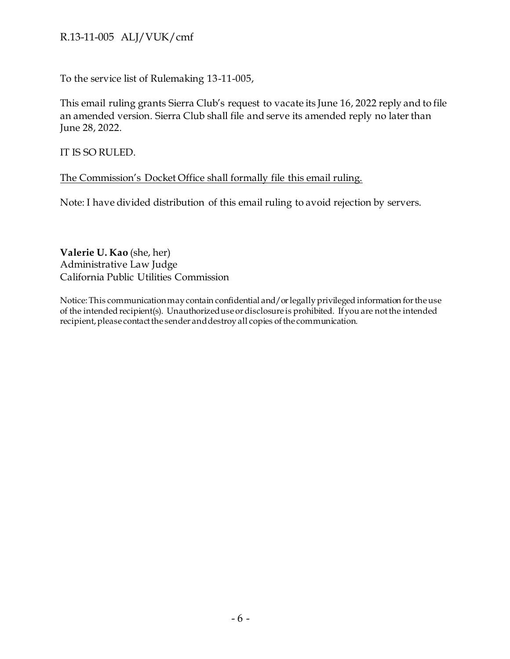To the service list of Rulemaking 13-11-005,

This email ruling grants Sierra Club's request to vacate its June 16, 2022 reply and to file an amended version. Sierra Club shall file and serve its amended reply no later than June 28, 2022.

IT IS SO RULED.

#### The Commission's Docket Office shall formally file this email ruling.

Note: I have divided distribution of this email ruling to avoid rejection by servers.

**Valerie U. Kao** (she, her) Administrative Law Judge California Public Utilities Commission

Notice: This communication may contain confidential and/or legally privileged information for the use of the intended recipient(s). Unauthorized use or disclosure is prohibited. If you are not the intended recipient, please contact the sender and destroy all copies of the communication.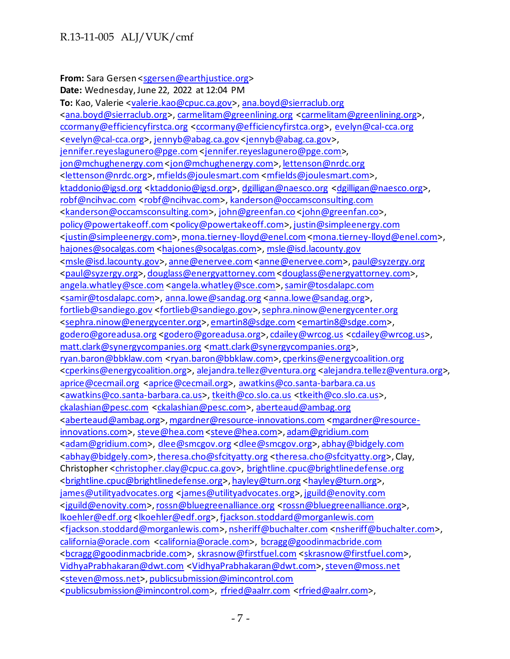#### From: Sara Gersen [<sgersen@earthjustice.org>](mailto:sgersen@earthjustice.org)

**Date:** Wednesday, June 22, 2022 at 12:04 PM **To:** Kao, Valerie [<valerie.kao@cpuc.ca.gov>](mailto:valerie.kao@cpuc.ca.gov)[, ana.boyd@sierraclub.org](mailto:ana.boyd@sierraclub.org) [<ana.boyd@sierraclub.org>](mailto:ana.boyd@sierraclub.org)[, carmelitam@greenlining.org](mailto:carmelitam@greenlining.org) [<carmelitam@greenlining.org>](mailto:carmelitam@greenlining.org), [ccormany@efficiencyfirstca.org](mailto:ccormany@efficiencyfirstca.org) [<ccormany@efficiencyfirstca.org>](mailto:ccormany@efficiencyfirstca.org), [evelyn@cal-cca.org](mailto:evelyn@cal-cca.org) [<evelyn@cal-cca.org>](mailto:evelyn@cal-cca.org)[, jennyb@abag.ca.gov](mailto:jennyb@abag.ca.gov) [<jennyb@abag.ca.gov>](mailto:jennyb@abag.ca.gov), [jennifer.reyeslagunero@pge.com](mailto:jennifer.reyeslagunero@pge.com) [<jennifer.reyeslagunero@pge.com](mailto:jennifer.reyeslagunero@pge.com)>, [jon@mchughenergy.com<jon@mchughenergy.com>](mailto:jon@mchughenergy.com)[, lettenson@nrdc.org](mailto:lettenson@nrdc.org) [<lettenson@nrdc.org>](mailto:lettenson@nrdc.org)[, mfields@joulesmart.com](mailto:mfields@joulesmart.com) [<mfields@joulesmart.com>](mailto:mfields@joulesmart.com), [ktaddonio@igsd.org](mailto:ktaddonio@igsd.org) [<ktaddonio@igsd.org>](mailto:ktaddonio@igsd.org)[, dgilligan@naesco.org](mailto:dgilligan@naesco.org) [<dgilligan@naesco.org>](mailto:dgilligan@naesco.org), [robf@ncihvac.com](mailto:robf@ncihvac.com) [<robf@ncihvac.com>](mailto:robf@ncihvac.com), [kanderson@occamsconsulting.com](mailto:kanderson@occamsconsulting.com) [<kanderson@occamsconsulting.com>](mailto:kanderson@occamsconsulting.com)[, john@greenfan.co](mailto:john@greenfan.co) [<john@greenfan.co](mailto:john@greenfan.co)>, [policy@powertakeoff.com<policy@powertakeoff.com>](mailto:policy@powertakeoff.com)[, justin@simpleenergy.com](mailto:justin@simpleenergy.com) [<justin@simpleenergy.com>](mailto:justin@simpleenergy.com)[, mona.tierney-lloyd@enel.com<mona.tierney-lloyd@enel.com](mailto:mona.tierney-lloyd@enel.com)>, [hajones@socalgas.com](mailto:hajones@socalgas.com) [<hajones@socalgas.com>](mailto:hajones@socalgas.com)[, msle@isd.lacounty.gov](mailto:msle@isd.lacounty.gov) [<msle@isd.lacounty.gov>](mailto:msle@isd.lacounty.gov)[, anne@enervee.com<anne@enervee.com](mailto:anne@enervee.com)>[, paul@syzergy.org](mailto:paul@syzergy.org) [<paul@syzergy.org>](mailto:paul@syzergy.org)[, douglass@energyattorney.com](mailto:douglass@energyattorney.com) [<douglass@energyattorney.com>](mailto:douglass@energyattorney.com), [angela.whatley@sce.com](mailto:angela.whatley@sce.com) [<angela.whatley@sce.com>](mailto:angela.whatley@sce.com)[, samir@tosdalapc.com](mailto:samir@tosdalapc.com) [<samir@tosdalapc.com>](mailto:samir@tosdalapc.com), [anna.lowe@sandag.org](mailto:anna.lowe@sandag.org) [<anna.lowe@sandag.org>](mailto:anna.lowe@sandag.org), [fortlieb@sandiego.gov](mailto:fortlieb@sandiego.gov) [<fortlieb@sandiego.gov>](mailto:fortlieb@sandiego.gov)[, sephra.ninow@energycenter.org](mailto:sephra.ninow@energycenter.org) [<sephra.ninow@energycenter.org>](mailto:sephra.ninow@energycenter.org)[, emartin8@sdge.com<emartin8@sdge.com>](mailto:emartin8@sdge.com), [godero@goreadusa.org](mailto:godero@goreadusa.org) [<godero@goreadusa.org>](mailto:godero@goreadusa.org)[, cdailey@wrcog.us](mailto:cdailey@wrcog.us) [<cdailey@wrcog.us>](mailto:cdailey@wrcog.us), [matt.clark@synergycompanies.org](mailto:matt.clark@synergycompanies.org) [<matt.clark@synergycompanies.org>](mailto:matt.clark@synergycompanies.org), [ryan.baron@bbklaw.com](mailto:ryan.baron@bbklaw.com) [<ryan.baron@bbklaw.com>](mailto:ryan.baron@bbklaw.com)[, cperkins@energycoalition.org](mailto:cperkins@energycoalition.org) [<cperkins@energycoalition.org>](mailto:cperkins@energycoalition.org), [alejandra.tellez@ventura.org](mailto:alejandra.tellez@ventura.org) [<alejandra.tellez@ventura.org>](mailto:alejandra.tellez@ventura.org), [aprice@cecmail.org](mailto:aprice@cecmail.org) [<aprice@cecmail.org>](mailto:aprice@cecmail.org), [awatkins@co.santa-barbara.ca.us](mailto:awatkins@co.santa-barbara.ca.us) [<awatkins@co.santa-barbara.ca.us>](mailto:awatkins@co.santa-barbara.ca.us)[, tkeith@co.slo.ca.us](mailto:tkeith@co.slo.ca.us) [<tkeith@co.slo.ca.us>](mailto:tkeith@co.slo.ca.us), [ckalashian@pesc.com](mailto:ckalashian@pesc.com) [<ckalashian@pesc.com>](mailto:ckalashian@pesc.com), [aberteaud@ambag.org](mailto:aberteaud@ambag.org) [<aberteaud@ambag.org>](mailto:aberteaud@ambag.org)[, mgardner@resource-innovations.com](mailto:mgardner@resource-innovations.com) [<mgardner@resource](mailto:mgardner@resource-innovations.com)[innovations.com>](mailto:mgardner@resource-innovations.com)[, steve@hea.com<steve@hea.com](mailto:steve@hea.com)>[, adam@gridium.com](mailto:adam@gridium.com) [<adam@gridium.com>](mailto:adam@gridium.com), [dlee@smcgov.org](mailto:dlee@smcgov.org) [<dlee@smcgov.org>](mailto:dlee@smcgov.org)[, abhay@bidgely.com](mailto:abhay@bidgely.com) [<abhay@bidgely.com>](mailto:abhay@bidgely.com)[, theresa.cho@sfcityatty.org](mailto:theresa.cho@sfcityatty.org) [<theresa.cho@sfcityatty.org>](mailto:theresa.cho@sfcityatty.org), Clay, Christopher [<christopher.clay@cpuc.ca.gov>](mailto:christopher.clay@cpuc.ca.gov), [brightline.cpuc@brightlinedefense.org](mailto:brightline.cpuc@brightlinedefense.org) [<brightline.cpuc@brightlinedefense.org>](mailto:brightline.cpuc@brightlinedefense.org)[, hayley@turn.org](mailto:hayley@turn.org) [<hayley@turn.org>](mailto:hayley@turn.org), [james@utilityadvocates.org](mailto:james@utilityadvocates.org) [<james@utilityadvocates.org>](mailto:james@utilityadvocates.org)[, jguild@enovity.com](mailto:jguild@enovity.com) [<jguild@enovity.com>](mailto:jguild@enovity.com)[, rossn@bluegreenalliance.org](mailto:rossn@bluegreenalliance.org) [<rossn@bluegreenalliance.org>](mailto:rossn@bluegreenalliance.org), [lkoehler@edf.org](mailto:lkoehler@edf.org) [<lkoehler@edf.org>](mailto:lkoehler@edf.org)[, fjackson.stoddard@morganlewis.com](mailto:fjackson.stoddard@morganlewis.com) [<fjackson.stoddard@morganlewis.com>](mailto:fjackson.stoddard@morganlewis.com)[, nsheriff@buchalter.com](mailto:nsheriff@buchalter.com) [<nsheriff@buchalter.com>](mailto:nsheriff@buchalter.com), [california@oracle.com](mailto:california@oracle.com) [<california@oracle.com>](mailto:california@oracle.com), [bcragg@goodinmacbride.com](mailto:bcragg@goodinmacbride.com) [<bcragg@goodinmacbride.com>](mailto:bcragg@goodinmacbride.com), [skrasnow@firstfuel.com](mailto:skrasnow@firstfuel.com) [<skrasnow@firstfuel.com>](mailto:skrasnow@firstfuel.com), [VidhyaPrabhakaran@dwt.com](mailto:VidhyaPrabhakaran@dwt.com) [<VidhyaPrabhakaran@dwt.com>](mailto:VidhyaPrabhakaran@dwt.com)[, steven@moss.net](mailto:steven@moss.net) [<steven@moss.net](mailto:steven@moss.net)>[, publicsubmission@imincontrol.com](mailto:publicsubmission@imincontrol.com) [<publicsubmission@imincontrol.com>](mailto:publicsubmission@imincontrol.com), [rfried@aalrr.com](mailto:rfried@aalrr.com) [<rfried@aalrr.com>](mailto:rfried@aalrr.com),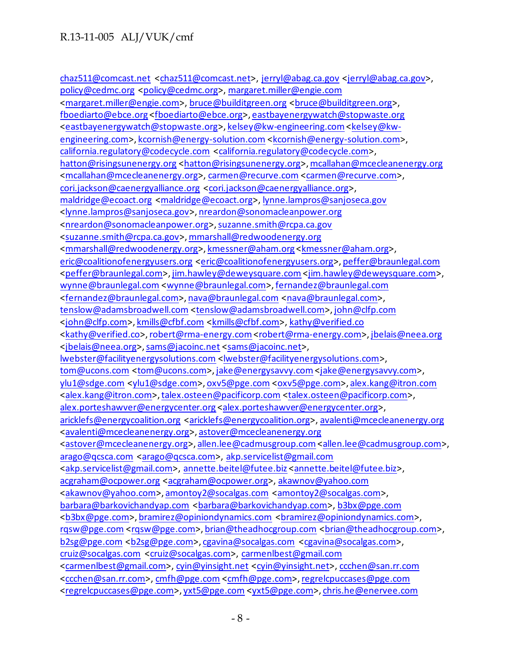[chaz511@comcast.net](mailto:chaz511@comcast.net) [<chaz511@comcast.net>](mailto:chaz511@comcast.net), [jerryl@abag.ca.gov](mailto:jerryl@abag.ca.gov) [<jerryl@abag.ca.gov>](mailto:jerryl@abag.ca.gov), [policy@cedmc.org](mailto:policy@cedmc.org) [<policy@cedmc.org>](mailto:policy@cedmc.org)[, margaret.miller@engie.com](mailto:margaret.miller@engie.com) [<margaret.miller@engie.com>](mailto:margaret.miller@engie.com), [bruce@builditgreen.org](mailto:bruce@builditgreen.org) [<bruce@builditgreen.org>](mailto:bruce@builditgreen.org), [fboediarto@ebce.org](mailto:fboediarto@ebce.org) [<fboediarto@ebce.org>](mailto:fboediarto@ebce.org)[, eastbayenergywatch@stopwaste.org](mailto:eastbayenergywatch@stopwaste.org) [<eastbayenergywatch@stopwaste.org>](mailto:eastbayenergywatch@stopwaste.org)[, kelsey@kw-engineering.com<kelsey@kw](mailto:kelsey@kw-engineering.com)[engineering.com>](mailto:kelsey@kw-engineering.com)[, kcornish@energy-solution.com](mailto:kcornish@energy-solution.com) [<kcornish@energy-solution.com>](mailto:kcornish@energy-solution.com), [california.regulatory@codecycle.com](mailto:california.regulatory@codecycle.com) [<california.regulatory@codecycle.com>](mailto:california.regulatory@codecycle.com), [hatton@risingsunenergy.org](mailto:hatton@risingsunenergy.org) [<hatton@risingsunenergy.org>](mailto:hatton@risingsunenergy.org)[, mcallahan@mcecleanenergy.org](mailto:mcallahan@mcecleanenergy.org) [<mcallahan@mcecleanenergy.org>](mailto:mcallahan@mcecleanenergy.org)[, carmen@recurve.com](mailto:carmen@recurve.com) [<carmen@recurve.com>](mailto:carmen@recurve.com), [cori.jackson@caenergyalliance.org](mailto:cori.jackson@caenergyalliance.org) [<cori.jackson@caenergyalliance.org>](mailto:cori.jackson@caenergyalliance.org), [maldridge@ecoact.org](mailto:maldridge@ecoact.org) [<maldridge@ecoact.org>](mailto:maldridge@ecoact.org), [lynne.lampros@sanjoseca.gov](mailto:lynne.lampros@sanjoseca.gov) [<lynne.lampros@sanjoseca.gov>](mailto:lynne.lampros@sanjoseca.gov)[, nreardon@sonomacleanpower.org](mailto:nreardon@sonomacleanpower.org) [<nreardon@sonomacleanpower.org>](mailto:nreardon@sonomacleanpower.org)[, suzanne.smith@rcpa.ca.gov](mailto:suzanne.smith@rcpa.ca.gov) [<suzanne.smith@rcpa.ca.gov>](mailto:suzanne.smith@rcpa.ca.gov)[, mmarshall@redwoodenergy.org](mailto:mmarshall@redwoodenergy.org) [<mmarshall@redwoodenergy.org>](mailto:mmarshall@redwoodenergy.org)[, kmessner@aham.org](mailto:kmessner@aham.org) [<kmessner@aham.org>](mailto:kmessner@aham.org), [eric@coalitionofenergyusers.org](mailto:eric@coalitionofenergyusers.org) [<eric@coalitionofenergyusers.org>](mailto:eric@coalitionofenergyusers.org)[, peffer@braunlegal.com](mailto:peffer@braunlegal.com) [<peffer@braunlegal.com>](mailto:peffer@braunlegal.com)[, jim.hawley@deweysquare.com](mailto:jim.hawley@deweysquare.com) [<jim.hawley@deweysquare.com](mailto:jim.hawley@deweysquare.com)>, [wynne@braunlegal.com](mailto:wynne@braunlegal.com) [<wynne@braunlegal.com>](mailto:wynne@braunlegal.com)[, fernandez@braunlegal.com](mailto:fernandez@braunlegal.com) [<fernandez@braunlegal.com>](mailto:fernandez@braunlegal.com)[, nava@braunlegal.com](mailto:nava@braunlegal.com) [<nava@braunlegal.com>](mailto:nava@braunlegal.com), [tenslow@adamsbroadwell.com](mailto:tenslow@adamsbroadwell.com) [<tenslow@adamsbroadwell.com>](mailto:tenslow@adamsbroadwell.com)[, john@clfp.com](mailto:john@clfp.com) [<john@clfp.com>](mailto:john@clfp.com)[, kmills@cfbf.com](mailto:kmills@cfbf.com) [<kmills@cfbf.com>](mailto:kmills@cfbf.com)[, kathy@verified.co](mailto:kathy@verified.co) [<kathy@verified.co>](mailto:kathy@verified.co)[, robert@rma-energy.com<robert@rma-energy.com>](mailto:robert@rma-energy.com)[, jbelais@neea.org](mailto:jbelais@neea.org) [<jbelais@neea.org>](mailto:jbelais@neea.org)[, sams@jacoinc.net](mailto:sams@jacoinc.net) [<sams@jacoinc.net>](mailto:sams@jacoinc.net), [lwebster@facilityenergysolutions.com](mailto:lwebster@facilityenergysolutions.com) [<lwebster@facilityenergysolutions.com>](mailto:lwebster@facilityenergysolutions.com), [tom@ucons.com](mailto:tom@ucons.com) [<tom@ucons.com>](mailto:tom@ucons.com), jake@energysavvy.com <jake@energysavvy.com>, [ylu1@sdge.com](mailto:ylu1@sdge.com) [<ylu1@sdge.com>](mailto:ylu1@sdge.com)[, oxv5@pge.com](mailto:oxv5@pge.com) [<oxv5@pge.com>](mailto:oxv5@pge.com)[, alex.kang@itron.com](mailto:alex.kang@itron.com) [<alex.kang@itron.com>](mailto:alex.kang@itron.com)[, talex.osteen@pacificorp.com](mailto:talex.osteen@pacificorp.com) [<talex.osteen@pacificorp.com>](mailto:talex.osteen@pacificorp.com), [alex.porteshawver@energycenter.org](mailto:alex.porteshawver@energycenter.org) [<alex.porteshawver@energycenter.org](mailto:alex.porteshawver@energycenter.org)>, [aricklefs@energycoalition.org](mailto:aricklefs@energycoalition.org) [<aricklefs@energycoalition.org>](mailto:aricklefs@energycoalition.org), [avalenti@mcecleanenergy.org](mailto:avalenti@mcecleanenergy.org) [<avalenti@mcecleanenergy.org>](mailto:avalenti@mcecleanenergy.org)[, astover@mcecleanenergy.org](mailto:astover@mcecleanenergy.org) [<astover@mcecleanenergy.org>](mailto:astover@mcecleanenergy.org), allen.lee@cadmusgroup.com <allen.lee@cadmusgroup.com>, [arago@qcsca.com](mailto:arago@qcsca.com) [<arago@qcsca.com>](mailto:arago@qcsca.com), [akp.servicelist@gmail.com](mailto:akp.servicelist@gmail.com) [<akp.servicelist@gmail.com>](mailto:akp.servicelist@gmail.com), [annette.beitel@futee.biz](mailto:annette.beitel@futee.biz) [<annette.beitel@futee.biz](mailto:annette.beitel@futee.biz)>, [acgraham@ocpower.org](mailto:acgraham@ocpower.org) [<acgraham@ocpower.org>](mailto:acgraham@ocpower.org), [akawnov@yahoo.com](mailto:akawnov@yahoo.com) [<akawnov@yahoo.com>](mailto:akawnov@yahoo.com)[, amontoy2@socalgas.com](mailto:amontoy2@socalgas.com) [<amontoy2@socalgas.com>](mailto:amontoy2@socalgas.com), [barbara@barkovichandyap.com](mailto:barbara@barkovichandyap.com) [<barbara@barkovichandyap.com>](mailto:barbara@barkovichandyap.com), [b3bx@pge.com](mailto:b3bx@pge.com) [<b3bx@pge.com>](mailto:b3bx@pge.com)[, bramirez@opiniondynamics.com](mailto:bramirez@opiniondynamics.com) [<bramirez@opiniondynamics.com>](mailto:bramirez@opiniondynamics.com), [rqsw@pge.com](mailto:rqsw@pge.com) [<rqsw@pge.com>](mailto:rqsw@pge.com)[, brian@theadhocgroup.com](mailto:brian@theadhocgroup.com) [<brian@theadhocgroup.com>](mailto:brian@theadhocgroup.com), [b2sg@pge.com](mailto:b2sg@pge.com) [<b2sg@pge.com>](mailto:b2sg@pge.com)[, cgavina@socalgas.com](mailto:cgavina@socalgas.com) [<cgavina@socalgas.com>](mailto:cgavina@socalgas.com), [cruiz@socalgas.com](mailto:cruiz@socalgas.com) [<cruiz@socalgas.com>](mailto:cruiz@socalgas.com), [carmenlbest@gmail.com](mailto:carmenlbest@gmail.com) [<carmenlbest@gmail.com>](mailto:carmenlbest@gmail.com), [cyin@yinsight.net](mailto:cyin@yinsight.net) [<cyin@yinsight.net>](mailto:cyin@yinsight.net)[, ccchen@san.rr.com](mailto:ccchen@san.rr.com) [<ccchen@san.rr.com>](mailto:ccchen@san.rr.com)[, cmfh@pge.com](mailto:cmfh@pge.com) [<cmfh@pge.com>](mailto:cmfh@pge.com)[, regrelcpuccases@pge.com](mailto:regrelcpuccases@pge.com) [<regrelcpuccases@pge.com>](mailto:regrelcpuccases@pge.com)[, yxt5@pge.com](mailto:yxt5@pge.com) [<yxt5@pge.com>](mailto:yxt5@pge.com)[, chris.he@enervee.com](mailto:chris.he@enervee.com)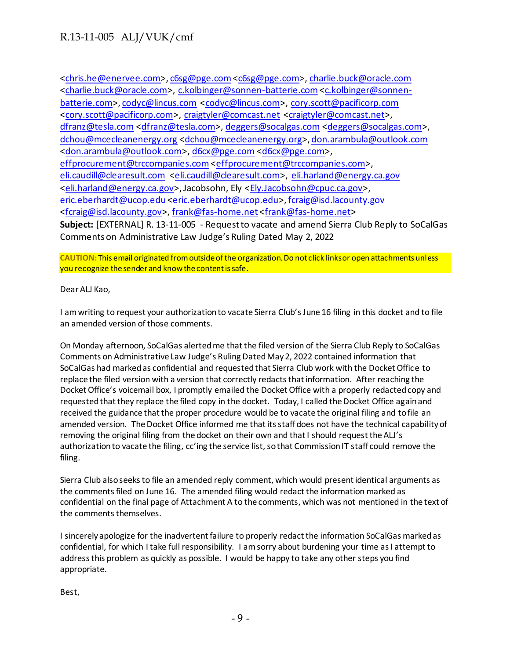[<chris.he@enervee.com](mailto:chris.he@enervee.com)>[, c6sg@pge.com<c6sg@pge.com>](mailto:c6sg@pge.com)[, charlie.buck@oracle.com](mailto:charlie.buck@oracle.com) [<charlie.buck@oracle.com>](mailto:charlie.buck@oracle.com), [c.kolbinger@sonnen-batterie.com<c.kolbinger@sonnen](mailto:c.kolbinger@sonnen-batterie.com)[batterie.com>](mailto:c.kolbinger@sonnen-batterie.com)[, codyc@lincus.com](mailto:codyc@lincus.com) [<codyc@lincus.com>](mailto:codyc@lincus.com), [cory.scott@pacificorp.com](mailto:cory.scott@pacificorp.com) [<cory.scott@pacificorp.com>](mailto:cory.scott@pacificorp.com), [craigtyler@comcast.net](mailto:craigtyler@comcast.net) [<craigtyler@comcast.net>](mailto:craigtyler@comcast.net), [dfranz@tesla.com](mailto:dfranz@tesla.com) [<dfranz@tesla.com>](mailto:dfranz@tesla.com)[, deggers@socalgas.com](mailto:deggers@socalgas.com) [<deggers@socalgas.com>](mailto:deggers@socalgas.com), [dchou@mcecleanenergy.org](mailto:dchou@mcecleanenergy.org) [<dchou@mcecleanenergy.org>](mailto:dchou@mcecleanenergy.org)[, don.arambula@outlook.com](mailto:don.arambula@outlook.com) [<don.arambula@outlook.com>](mailto:don.arambula@outlook.com)[, d6cx@pge.com](mailto:d6cx@pge.com) [<d6cx@pge.com>](mailto:d6cx@pge.com), [effprocurement@trccompanies.com](mailto:effprocurement@trccompanies.com) [<effprocurement@trccompanies.com>](mailto:effprocurement@trccompanies.com), [eli.caudill@clearesult.com](mailto:eli.caudill@clearesult.com) [<eli.caudill@clearesult.com>](mailto:eli.caudill@clearesult.com), [eli.harland@energy.ca.gov](mailto:eli.harland@energy.ca.gov) [<eli.harland@energy.ca.gov>](mailto:eli.harland@energy.ca.gov), Jacobsohn, Ely [<Ely.Jacobsohn@cpuc.ca.gov>](mailto:Ely.Jacobsohn@cpuc.ca.gov), [eric.eberhardt@ucop.edu](mailto:eric.eberhardt@ucop.edu) [<eric.eberhardt@ucop.edu>](mailto:eric.eberhardt@ucop.edu)[, fcraig@isd.lacounty.gov](mailto:fcraig@isd.lacounty.gov) [<fcraig@isd.lacounty.gov>](mailto:fcraig@isd.lacounty.gov)[, frank@fas-home.net](mailto:frank@fas-home.net) [<frank@fas-home.net](mailto:frank@fas-home.net)> **Subject:** [EXTERNAL] R. 13-11-005 - Request to vacate and amend Sierra Club Reply to SoCalGas Comments on Administrative Law Judge's Ruling Dated May 2, 2022

**CAUTION:**This email originated from outside of the organization. Do not click links or open attachments unless you recognize the sender and know the content is safe.

Dear ALJ Kao,

I am writing to request your authorization to vacate Sierra Club's June 16 filing in this docket and to file an amended version of those comments.

On Monday afternoon, SoCalGas alerted me that the filed version of the Sierra Club Reply to SoCalGas Comments on Administrative Law Judge's Ruling Dated May 2, 2022 contained information that SoCalGas had marked as confidential and requested that Sierra Club work with the Docket Office to replace the filed version with a version that correctly redacts that information. After reaching the Docket Office's voicemail box, I promptly emailed the Docket Office with a properly redacted copy and requested that they replace the filed copy in the docket. Today, I called the Docket Office again and received the guidance that the proper procedure would be to vacate the original filing and to file an amended version. The Docket Office informed me that its staff does not have the technical capability of removing the original filing from the docket on their own and that I should request the ALJ's authorization to vacate the filing, cc'ing the service list, so that Commission IT staff could remove the filing.

Sierra Club also seeks to file an amended reply comment, which would present identical arguments as the comments filed on June 16. The amended filing would redact the information marked as confidential on the final page of Attachment A to the comments, which was not mentioned in the text of the comments themselves.

I sincerely apologize for the inadvertent failure to properly redact the information SoCalGas marked as confidential, for which I take full responsibility. I am sorry about burdening your time as I attempt to address this problem as quickly as possible. I would be happy to take any other steps you find appropriate.

Best,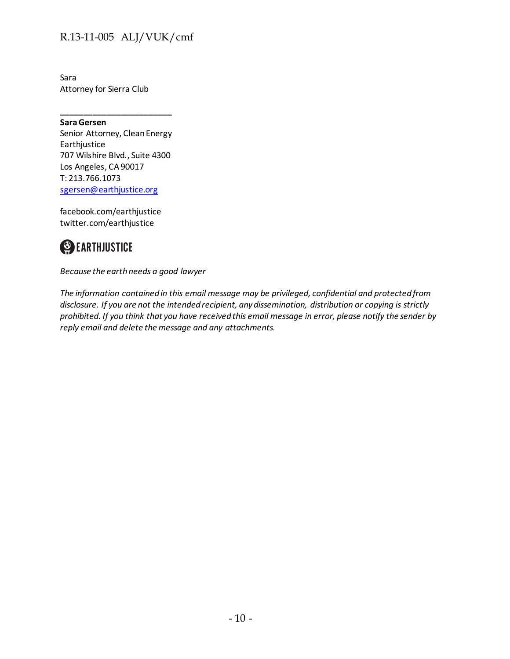Sara Attorney for Sierra Club

**Sara Gersen** Senior Attorney, Clean Energy Earthjustice 707 Wilshire Blvd., Suite 4300 Los Angeles, CA 90017 T: 213.766.1073 [sgersen@earthjustice.org](mailto:sgersen@earthjustice.org)

**\_\_\_\_\_\_\_\_\_\_\_\_\_\_\_\_\_\_\_\_\_\_\_\_**

facebook.com/earthjustice twitter.com/earthjustice



*Because the earth needs a good lawyer*

*The information contained in this email message may be privileged, confidential and protected from disclosure. If you are not the intended recipient, any dissemination, distribution or copying is strictly prohibited. If you think that you have received this email message in error, please notify the sender by reply email and delete the message and any attachments.*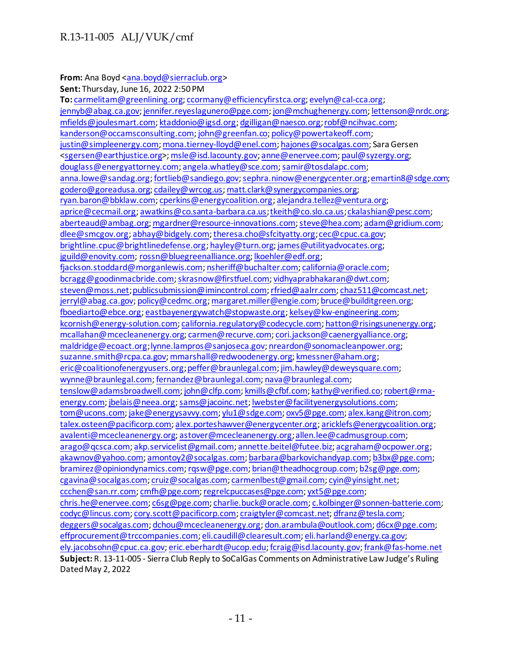#### **From:** Ana Boyd [<ana.boyd@sierraclub.org](mailto:ana.boyd@sierraclub.org)>

**Sent:** Thursday, June 16, 2022 2:50 PM **To:** [carmelitam@greenlining.org](mailto:carmelitam@greenlining.org)[; ccormany@efficiencyfirstca.org](mailto:ccormany@efficiencyfirstca.org)[; evelyn@cal-cca.org](mailto:evelyn@cal-cca.org); [jennyb@abag.ca.gov](mailto:jennyb@abag.ca.gov)[; jennifer.reyeslagunero@pge.com](mailto:jennifer.reyeslagunero@pge.com)[; jon@mchughenergy.com](mailto:jon@mchughenergy.com)[; lettenson@nrdc.org](mailto:lettenson@nrdc.org); [mfields@joulesmart.com](mailto:mfields@joulesmart.com)[; ktaddonio@igsd.org](mailto:ktaddonio@igsd.org)[; dgilligan@naesco.org](mailto:dgilligan@naesco.org)[; robf@ncihvac.com](mailto:robf@ncihvac.com); [kanderson@occamsconsulting.com](mailto:kanderson@occamsconsulting.com)[; john@greenfan.co](mailto:john@greenfan.co)[; policy@powertakeoff.com](mailto:policy@powertakeoff.com); [justin@simpleenergy.com](mailto:justin@simpleenergy.com)[; mona.tierney-lloyd@enel.com](mailto:mona.tierney-lloyd@enel.com)[; hajones@socalgas.com](mailto:hajones@socalgas.com); Sara Gersen [<sgersen@earthjustice.org>](mailto:sgersen@earthjustice.org)[; msle@isd.lacounty.gov](mailto:msle@isd.lacounty.gov)[; anne@enervee.com](mailto:anne@enervee.com)[; paul@syzergy.org](mailto:paul@syzergy.org); [douglass@energyattorney.com](mailto:douglass@energyattorney.com)[; angela.whatley@sce.com](mailto:angela.whatley@sce.com)[; samir@tosdalapc.com](mailto:samir@tosdalapc.com); [anna.lowe@sandag.org](mailto:anna.lowe@sandag.org)[; fortlieb@sandiego.gov](mailto:fortlieb@sandiego.gov)[; sephra.ninow@energycenter.org](mailto:sephra.ninow@energycenter.org)[; emartin8@sdge.com;](mailto:emartin8@sdge.com) [godero@goreadusa.org](mailto:godero@goreadusa.org)[; cdailey@wrcog.us](mailto:cdailey@wrcog.us)[; matt.clark@synergycompanies.org](mailto:matt.clark@synergycompanies.org); [ryan.baron@bbklaw.com](mailto:ryan.baron@bbklaw.com)[; cperkins@energycoalition.org](mailto:cperkins@energycoalition.org)[; alejandra.tellez@ventura.org](mailto:alejandra.tellez@ventura.org); [aprice@cecmail.org](mailto:aprice@cecmail.org)[; awatkins@co.santa-barbara.ca.us](mailto:awatkins@co.santa-barbara.ca.us)[; tkeith@co.slo.ca.us](mailto:tkeith@co.slo.ca.us)[; ckalashian@pesc.com](mailto:ckalashian@pesc.com); [aberteaud@ambag.org](mailto:aberteaud@ambag.org)[; mgardner@resource-innovations.com](mailto:mgardner@resource-innovations.com)[; steve@hea.com](mailto:steve@hea.com)[; adam@gridium.com](mailto:adam@gridium.com); [dlee@smcgov.org](mailto:dlee@smcgov.org)[; abhay@bidgely.com](mailto:abhay@bidgely.com)[; theresa.cho@sfcityatty.org](mailto:theresa.cho@sfcityatty.org)[; cec@cpuc.ca.gov](mailto:cec@cpuc.ca.gov); [brightline.cpuc@brightlinedefense.org](mailto:brightline.cpuc@brightlinedefense.org)[; hayley@turn.org](mailto:hayley@turn.org)[; james@utilityadvocates.org](mailto:james@utilityadvocates.org); [jguild@enovity.com;](mailto:jguild@enovity.com) [rossn@bluegreenalliance.org](mailto:rossn@bluegreenalliance.org)[; lkoehler@edf.org](mailto:lkoehler@edf.org); fiackson.stoddard@morganlewis.com[; nsheriff@buchalter.com](mailto:nsheriff@buchalter.com)[; california@oracle.com](mailto:california@oracle.com); [bcragg@goodinmacbride.com](mailto:bcragg@goodinmacbride.com)[; skrasnow@firstfuel.com](mailto:skrasnow@firstfuel.com)[; vidhyaprabhakaran@dwt.com](mailto:vidhyaprabhakaran@dwt.com); [steven@moss.net](mailto:steven@moss.net)[; publicsubmission@imincontrol.com](mailto:publicsubmission@imincontrol.com)[; rfried@aalrr.com](mailto:rfried@aalrr.com)[; chaz511@comcast.net](mailto:chaz511@comcast.net); [jerryl@abag.ca.gov](mailto:jerryl@abag.ca.gov)[; policy@cedmc.org](mailto:policy@cedmc.org)[; margaret.miller@engie.com](mailto:margaret.miller@engie.com)[; bruce@builditgreen.org](mailto:bruce@builditgreen.org); [fboediarto@ebce.org](mailto:fboediarto@ebce.org)[; eastbayenergywatch@stopwaste.org](mailto:eastbayenergywatch@stopwaste.org)[; kelsey@kw-engineering.com](mailto:kelsey@kw-engineering.com); [kcornish@energy-solution.com](mailto:kcornish@energy-solution.com)[; california.regulatory@codecycle.com](mailto:california.regulatory@codecycle.com)[; hatton@risingsunenergy.org](mailto:hatton@risingsunenergy.org); [mcallahan@mcecleanenergy.org](mailto:mcallahan@mcecleanenergy.org)[; carmen@recurve.com](mailto:carmen@recurve.com)[; cori.jackson@caenergyalliance.org](mailto:cori.jackson@caenergyalliance.org); [maldridge@ecoact.org](mailto:maldridge@ecoact.org)[; lynne.lampros@sanjoseca.gov](mailto:lynne.lampros@sanjoseca.gov)[; nreardon@sonomacleanpower.org](mailto:nreardon@sonomacleanpower.org); [suzanne.smith@rcpa.ca.gov](mailto:suzanne.smith@rcpa.ca.gov)[; mmarshall@redwoodenergy.org](mailto:mmarshall@redwoodenergy.org)[; kmessner@aham.org](mailto:kmessner@aham.org); [eric@coalitionofenergyusers.org](mailto:eric@coalitionofenergyusers.org)[; peffer@braunlegal.com](mailto:peffer@braunlegal.com)[; jim.hawley@deweysquare.com](mailto:jim.hawley@deweysquare.com); [wynne@braunlegal.com](mailto:wynne@braunlegal.com)[; fernandez@braunlegal.com](mailto:fernandez@braunlegal.com)[; nava@braunlegal.com](mailto:nava@braunlegal.com); [tenslow@adamsbroadwell.com](mailto:tenslow@adamsbroadwell.com)[; john@clfp.com](mailto:john@clfp.com)[; kmills@cfbf.com](mailto:kmills@cfbf.com)[; kathy@verified.co](mailto:kathy@verified.co)[; robert@rma](mailto:robert@rma-energy.com)[energy.com;](mailto:robert@rma-energy.com) [jbelais@neea.org](mailto:jbelais@neea.org)[; sams@jacoinc.net](mailto:sams@jacoinc.net)[; lwebster@facilityenergysolutions.com](mailto:lwebster@facilityenergysolutions.com); [tom@ucons.com;](mailto:tom@ucons.com) [jake@energysavvy.com](mailto:jake@energysavvy.com)[; ylu1@sdge.com](mailto:ylu1@sdge.com)[; oxv5@pge.com](mailto:oxv5@pge.com)[; alex.kang@itron.com](mailto:alex.kang@itron.com); [talex.osteen@pacificorp.com](mailto:talex.osteen@pacificorp.com)[; alex.porteshawver@energycenter.org](mailto:alex.porteshawver@energycenter.org)[; aricklefs@energycoalition.org](mailto:aricklefs@energycoalition.org); [avalenti@mcecleanenergy.org](mailto:avalenti@mcecleanenergy.org)[; astover@mcecleanenergy.org](mailto:astover@mcecleanenergy.org)[; allen.lee@cadmusgroup.com](mailto:allen.lee@cadmusgroup.com); [arago@qcsca.com](mailto:arago@qcsca.com)[; akp.servicelist@gmail.com](mailto:akp.servicelist@gmail.com)[; annette.beitel@futee.biz](mailto:annette.beitel@futee.biz)[; acgraham@ocpower.org](mailto:acgraham@ocpower.org); [akawnov@yahoo.com;](mailto:akawnov@yahoo.com) [amontoy2@socalgas.com](mailto:amontoy2@socalgas.com)[; barbara@barkovichandyap.com;](mailto:barbara@barkovichandyap.com) [b3bx@pge.com](mailto:b3bx@pge.com); [bramirez@opiniondynamics.com](mailto:bramirez@opiniondynamics.com)[; rqsw@pge.com](mailto:rqsw@pge.com)[; brian@theadhocgroup.com](mailto:brian@theadhocgroup.com)[; b2sg@pge.com](mailto:b2sg@pge.com); [cgavina@socalgas.com](mailto:cgavina@socalgas.com)[; cruiz@socalgas.com](mailto:cruiz@socalgas.com)[; carmenlbest@gmail.com](mailto:carmenlbest@gmail.com)[; cyin@yinsight.net](mailto:cyin@yinsight.net); [ccchen@san.rr.com](mailto:ccchen@san.rr.com)[; cmfh@pge.com](mailto:cmfh@pge.com)[; regrelcpuccases@pge.com](mailto:regrelcpuccases@pge.com)[; yxt5@pge.com](mailto:yxt5@pge.com); [chris.he@enervee.com](mailto:chris.he@enervee.com)[; c6sg@pge.com](mailto:c6sg@pge.com)[; charlie.buck@oracle.com](mailto:charlie.buck@oracle.com)[; c.kolbinger@sonnen-batterie.com](mailto:c.kolbinger@sonnen-batterie.com); [codyc@lincus.com;](mailto:codyc@lincus.com) [cory.scott@pacificorp.com](mailto:cory.scott@pacificorp.com)[; craigtyler@comcast.net](mailto:craigtyler@comcast.net)[; dfranz@tesla.com](mailto:dfranz@tesla.com); [deggers@socalgas.com](mailto:deggers@socalgas.com)[; dchou@mcecleanenergy.org](mailto:dchou@mcecleanenergy.org)[; don.arambula@outlook.com](mailto:don.arambula@outlook.com)[; d6cx@pge.com](mailto:d6cx@pge.com); [effprocurement@trccompanies.com](mailto:effprocurement@trccompanies.com)[; eli.caudill@clearesult.com](mailto:eli.caudill@clearesult.com)[; eli.harland@energy.ca.gov](mailto:eli.harland@energy.ca.gov); [ely.jacobsohn@cpuc.ca.gov](mailto:ely.jacobsohn@cpuc.ca.gov)[; eric.eberhardt@ucop.edu](mailto:eric.eberhardt@ucop.edu)[; fcraig@isd.lacounty.gov](mailto:fcraig@isd.lacounty.gov)[; frank@fas-home.net](mailto:frank@fas-home.net) **Subject:** R. 13-11-005 - Sierra Club Reply to SoCalGas Comments on Administrative Law Judge's Ruling Dated May 2, 2022